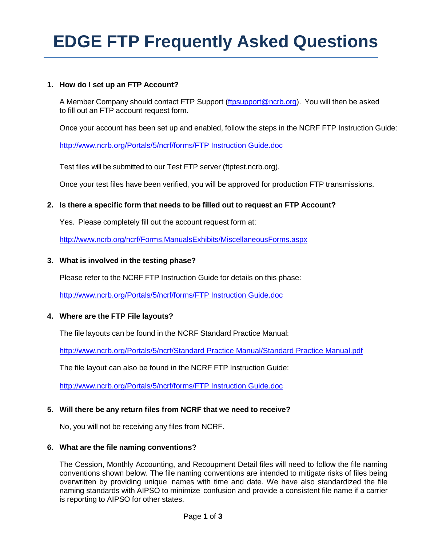# **EDGE FTP Frequently Asked Questions**

## **1. How do I set up an FTP Account?**

A Member Company should contact FTP Support (ftpsupport@ncrb.org). You will then be asked to fill out an FTP account request form.

Once your account has been set up and enabled, follow the steps in the NCRF FTP Instruction Guide:

[http://www.ncrb.org/Portals/5/ncrf/forms/FTP Instruction Guide.doc](http://www.ncrb.org/Portals/5/ncrf/forms/FTP%20Instruction%20Guide.doc)

Test files will be submitted to our Test FTP server (ftptest.ncrb.org).

Once your test files have been verified, you will be approved for production FTP transmissions.

## **2. Is there a specific form that needs to be filled out to request an FTP Account?**

Yes. Please completely fill out the account request form at:

http://www.ncrb.org/ncrf[/Forms,](http://www.ncrb.org/ncrf/Forms,ManualsExhibits/MiscellaneousForms.aspx)ManualsExhibits/MiscellaneousForms.aspx

## **3. What is involved in the testing phase?**

Please refer to the NCRF FTP Instruction Guide for details on this phase:

[http://www.ncrb.org/Portals/5/ncrf/forms/FTP Instruction Guide.doc](http://www.ncrb.org/Portals/5/ncrf/forms/FTP%20Instruction%20Guide.doc)

## **4. Where are the FTP File layouts?**

The file layouts can be found in the NCRF Standard Practice Manual:

[http://www.ncrb.org/Portals/5/ncrf/Standard Practice Manual/Standard Practice Manual.pdf](http://www.ncrb.org/Portals/5/ncrf/Standard%20Practice%20Manual/Standard%20Practice%20Manual.pdf)

The file layout can also be found in the NCRF FTP Instruction Guide:

[http://www.ncrb.org/Portals/5/ncrf/forms/FTP Instruction Guide.doc](http://www.ncrb.org/Portals/5/ncrf/forms/FTP%20Instruction%20Guide.doc)

## **5. Will there be any return files from NCRF that we need to receive?**

No, you will not be receiving any files from NCRF.

#### **6. What are the file naming conventions?**

The Cession, Monthly Accounting, and Recoupment Detail files will need to follow the file naming conventions shown below. The file naming conventions are intended to mitigate risks of files being overwritten by providing unique names with time and date. We have also standardized the file naming standards with AIPSO to minimize confusion and provide a consistent file name if a carrier is reporting to AIPSO for other states.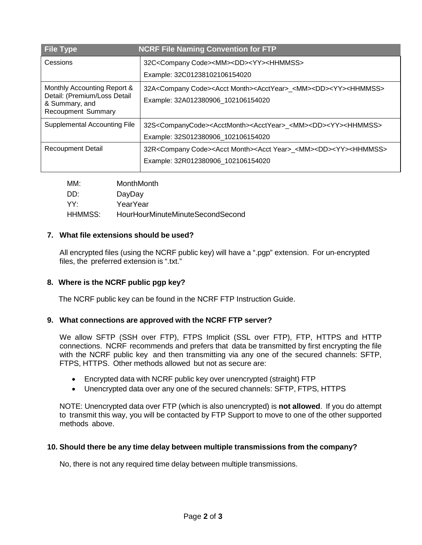| <b>File Type</b>                                                                                           | <b>NCRF File Naming Convention for FTP</b>                                                                                                                      |
|------------------------------------------------------------------------------------------------------------|-----------------------------------------------------------------------------------------------------------------------------------------------------------------|
| Cessions                                                                                                   | 32C <company code=""><mm><dd><yy><hhmmss></hhmmss></yy></dd></mm></company>                                                                                     |
|                                                                                                            | Example: 32C01238102106154020                                                                                                                                   |
| Monthly Accounting Report &<br>Detail: (Premium/Loss Detail<br>& Summary, and<br><b>Recoupment Summary</b> | 32A <company code=""><acct month=""><acctyear>_<mm><dd><yy><hhmmss><br/>Example: 32A012380906 102106154020</hhmmss></yy></dd></mm></acctyear></acct></company>  |
| <b>Supplemental Accounting File</b>                                                                        | 32S <companycode><acctmonth><acctyear>_<mm><dd><yy><hhmmss><br/>Example: 32S012380906_102106154020</hhmmss></yy></dd></mm></acctyear></acctmonth></companycode> |
| <b>Recoupment Detail</b>                                                                                   | 32R <company code=""><acct month=""><acct year="">_<mm><dd><yy><hhmmss><br/>Example: 32R012380906_102106154020</hhmmss></yy></dd></mm></acct></acct></company>  |

| MM:     | MonthMonth                       |
|---------|----------------------------------|
| ∙חח     | DayDay                           |
| YY.     | YearYear                         |
| HHMMSS: | HourHourMinuteMinuteSecondSecond |

## **7. What file extensions should be used?**

All encrypted files (using the NCRF public key) will have a ".pgp" extension. For un‐encrypted files, the preferred extension is ".txt."

## **8. Where is the NCRF public pgp key?**

The NCRF public key can be found in the NCRF FTP Instruction Guide.

## **9. What connections are approved with the NCRF FTP server?**

We allow SFTP (SSH over FTP), FTPS Implicit (SSL over FTP), FTP, HTTPS and HTTP connections. NCRF recommends and prefers that data be transmitted by first encrypting the file with the NCRF public key and then transmitting via any one of the secured channels: SFTP, FTPS, HTTPS. Other methods allowed but not as secure are:

- Encrypted data with NCRF public key over unencrypted (straight) FTP
- Unencrypted data over any one of the secured channels: SFTP, FTPS, HTTPS

NOTE: Unencrypted data over FTP (which is also unencrypted) is **not allowed**. If you do attempt to transmit this way, you will be contacted by FTP Support to move to one of the other supported methods above.

## **10. Should there be any time delay between multiple transmissions from the company?**

No, there is not any required time delay between multiple transmissions.